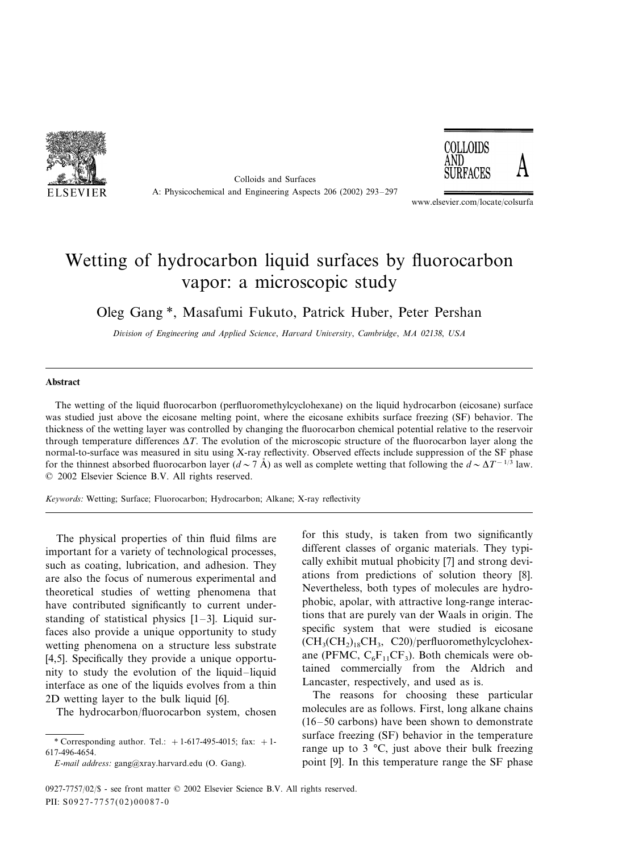

Colloids and Surfaces A: Physicochemical and Engineering Aspects 206 (2002) 293–297



www.elsevier.com/locate/colsurfa

## Wetting of hydrocarbon liquid surfaces by fluorocarbon vapor: a microscopic study

Oleg Gang \*, Masafumi Fukuto, Patrick Huber, Peter Pershan

*Diision of Engineering and Applied Science*, *Harard Uniersity*, *Cambridge*, *MA* <sup>02138</sup>, *USA*

## **Abstract**

The wetting of the liquid fluorocarbon (perfluoromethylcyclohexane) on the liquid hydrocarbon (eicosane) surface was studied just above the eicosane melting point, where the eicosane exhibits surface freezing (SF) behavior. The thickness of the wetting layer was controlled by changing the fluorocarbon chemical potential relative to the reservoir through temperature differences  $\Delta T$ . The evolution of the microscopic structure of the fluorocarbon layer along the normal-to-surface was measured in situ using X-ray reflectivity. Observed effects include suppression of the SF phase for the thinnest absorbed fluorocarbon layer (*d* $\sim$ 7 Å) as well as complete wetting that following the  $d \sim \Delta T^{-1/3}$  law. © 2002 Elsevier Science B.V. All rights reserved.

*Keywords*: Wetting; Surface; Fluorocarbon; Hydrocarbon; Alkane; X-ray reflectivity

The physical properties of thin fluid films are important for a variety of technological processes, such as coating, lubrication, and adhesion. They are also the focus of numerous experimental and theoretical studies of wetting phenomena that have contributed significantly to current understanding of statistical physics  $[1-3]$ . Liquid surfaces also provide a unique opportunity to study wetting phenomena on a structure less substrate [4,5]. Specifically they provide a unique opportunity to study the evolution of the liquid–liquid interface as one of the liquids evolves from a thin 2D wetting layer to the bulk liquid [6].

The hydrocarbon/fluorocarbon system, chosen

for this study, is taken from two significantly different classes of organic materials. They typically exhibit mutual phobicity [7] and strong deviations from predictions of solution theory [8]. Nevertheless, both types of molecules are hydrophobic, apolar, with attractive long-range interactions that are purely van der Waals in origin. The specific system that were studied is eicosane  $(CH<sub>3</sub>(CH<sub>2</sub>)<sub>18</sub>CH<sub>3</sub>, C20)/perfluorometryleyclohex$ ane (PFMC,  $C_6F_{11}CF_3$ ). Both chemicals were obtained commercially from the Aldrich and Lancaster, respectively, and used as is.

The reasons for choosing these particular molecules are as follows. First, long alkane chains (16–50 carbons) have been shown to demonstrate surface freezing (SF) behavior in the temperature range up to  $3 \text{ °C}$ , just above their bulk freezing point [9]. In this temperature range the SF phase

<sup>\*</sup> Corresponding author. Tel.:  $+1-617-495-4015$ ; fax:  $+1-$ 617-496-4654.

*E*-*mail address*: [gang@xray.harvard.edu](mailto:gang@xray.harvard.edu) (O. Gang).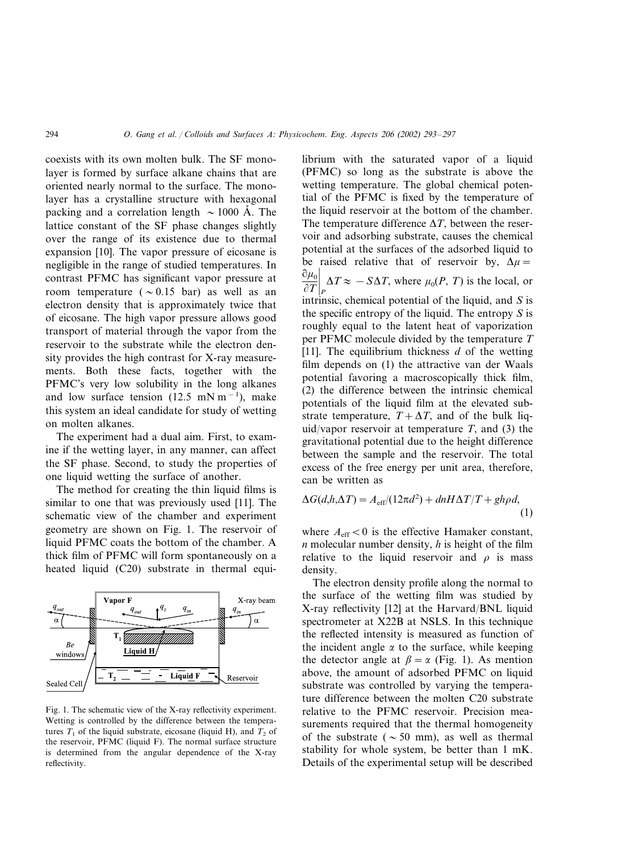coexists with its own molten bulk. The SF monolayer is formed by surface alkane chains that are oriented nearly normal to the surface. The monolayer has a crystalline structure with hexagonal packing and a correlation length  $\sim 1000$  Å. The lattice constant of the SF phase changes slightly over the range of its existence due to thermal expansion [10]. The vapor pressure of eicosane is negligible in the range of studied temperatures. In contrast PFMC has significant vapor pressure at room temperature ( $\sim 0.15$  bar) as well as an electron density that is approximately twice that of eicosane. The high vapor pressure allows good transport of material through the vapor from the reservoir to the substrate while the electron density provides the high contrast for X-ray measurements. Both these facts, together with the PFMC's very low solubility in the long alkanes and low surface tension  $(12.5 \text{ mN m}^{-1})$ , make this system an ideal candidate for study of wetting on molten alkanes.

The experiment had a dual aim. First, to examine if the wetting layer, in any manner, can affect the SF phase. Second, to study the properties of one liquid wetting the surface of another.

The method for creating the thin liquid films is similar to one that was previously used [11]. The schematic view of the chamber and experiment geometry are shown on Fig. 1. The reservoir of liquid PFMC coats the bottom of the chamber. A thick film of PFMC will form spontaneously on a heated liquid (C20) substrate in thermal equi-



Fig. 1. The schematic view of the X-ray reflectivity experiment. Wetting is controlled by the difference between the temperatures  $T_1$  of the liquid substrate, eicosane (liquid H), and  $T_2$  of the reservoir, PFMC (liquid F). The normal surface structure is determined from the angular dependence of the X-ray reflectivity.

librium with the saturated vapor of a liquid (PFMC) so long as the substrate is above the wetting temperature. The global chemical potential of the PFMC is fixed by the temperature of the liquid reservoir at the bottom of the chamber. The temperature difference  $\Delta T$ , between the reservoir and adsorbing substrate, causes the chemical potential at the surfaces of the adsorbed liquid to be raised relative that of reservoir by,  $\Delta \mu =$  $\partial \mu_0$  $\left[\frac{\partial P}{\partial T}\right]_P$   $\Delta T \approx -S\Delta T$ , where  $\mu_0(P, T)$  is the local, or intrinsic, chemical potential of the liquid, and *S* is the specific entropy of the liquid. The entropy *S* is roughly equal to the latent heat of vaporization per PFMC molecule divided by the temperature *T* [11]. The equilibrium thickness *d* of the wetting film depends on (1) the attractive van der Waals potential favoring a macroscopically thick film, (2) the difference between the intrinsic chemical potentials of the liquid film at the elevated substrate temperature,  $T + \Delta T$ , and of the bulk liquid/vapor reservoir at temperature  $T$ , and (3) the gravitational potential due to the height difference between the sample and the reservoir. The total excess of the free energy per unit area, therefore, can be written as

$$
\Delta G(d, h, \Delta T) = A_{\text{eff}}/(12\pi d^2) + dnH\Delta T/T + gh\rho d,
$$
\n(1)

where  $A_{\text{eff}}$  < 0 is the effective Hamaker constant, *n* molecular number density, *h* is height of the film relative to the liquid reservoir and  $\rho$  is mass density.

The electron density profile along the normal to the surface of the wetting film was studied by X-ray reflectivity [12] at the Harvard/BNL liquid spectrometer at X22B at NSLS. In this technique the reflected intensity is measured as function of the incident angle  $\alpha$  to the surface, while keeping the detector angle at  $\beta = \alpha$  (Fig. 1). As mention above, the amount of adsorbed PFMC on liquid substrate was controlled by varying the temperature difference between the molten C20 substrate relative to the PFMC reservoir. Precision measurements required that the thermal homogeneity of the substrate ( $\sim$  50 mm), as well as thermal stability for whole system, be better than 1 mK. Details of the experimental setup will be described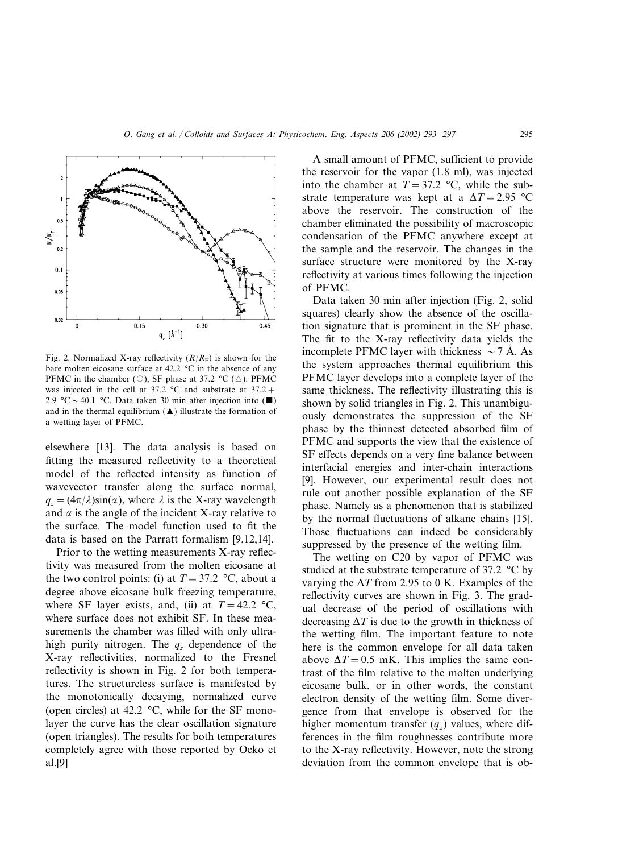

Fig. 2. Normalized X-ray reflectivity  $(R/R<sub>F</sub>)$  is shown for the bare molten eicosane surface at 42.2 °C in the absence of any PFMC in the chamber (O), SF phase at 37.2  $^{\circ}C$  ( $\triangle$ ). PFMC was injected in the cell at 37.2  $\degree$ C and substrate at 37.2 + 2.9 °C ~ 40.1 °C. Data taken 30 min after injection into ( $\blacksquare$ ) and in the thermal equilibrium  $(\triangle)$  illustrate the formation of a wetting layer of PFMC.

elsewhere [13]. The data analysis is based on fitting the measured reflectivity to a theoretical model of the reflected intensity as function of wavevector transfer along the surface normal,  $q_z = (4\pi/\lambda)\sin(\alpha)$ , where  $\lambda$  is the X-ray wavelength and  $\alpha$  is the angle of the incident X-ray relative to the surface. The model function used to fit the data is based on the Parratt formalism [9,12,14].

Prior to the wetting measurements X-ray reflectivity was measured from the molten eicosane at the two control points: (i) at  $T = 37.2$  °C, about a degree above eicosane bulk freezing temperature, where SF layer exists, and, (ii) at  $T = 42.2 \text{ °C}$ , where surface does not exhibit SF. In these measurements the chamber was filled with only ultrahigh purity nitrogen. The  $q_z$  dependence of the X-ray reflectivities, normalized to the Fresnel reflectivity is shown in Fig. 2 for both temperatures. The structureless surface is manifested by the monotonically decaying, normalized curve (open circles) at 42.2 °C, while for the SF monolayer the curve has the clear oscillation signature (open triangles). The results for both temperatures completely agree with those reported by Ocko et al.[9]

A small amount of PFMC, sufficient to provide the reservoir for the vapor (1.8 ml), was injected into the chamber at  $T = 37.2$  °C, while the substrate temperature was kept at a  $\Delta T = 2.95$  °C above the reservoir. The construction of the chamber eliminated the possibility of macroscopic condensation of the PFMC anywhere except at the sample and the reservoir. The changes in the surface structure were monitored by the X-ray reflectivity at various times following the injection of PFMC.

Data taken 30 min after injection (Fig. 2, solid squares) clearly show the absence of the oscillation signature that is prominent in the SF phase. The fit to the X-ray reflectivity data yields the incomplete PFMC layer with thickness  $\sim$  7 Å. As the system approaches thermal equilibrium this PFMC layer develops into a complete layer of the same thickness. The reflectivity illustrating this is shown by solid triangles in Fig. 2. This unambiguously demonstrates the suppression of the SF phase by the thinnest detected absorbed film of PFMC and supports the view that the existence of SF effects depends on a very fine balance between interfacial energies and inter-chain interactions [9]. However, our experimental result does not rule out another possible explanation of the SF phase. Namely as a phenomenon that is stabilized by the normal fluctuations of alkane chains [15]. Those fluctuations can indeed be considerably suppressed by the presence of the wetting film.

The wetting on C20 by vapor of PFMC was studied at the substrate temperature of 37.2 °C by varying the  $\Delta T$  from 2.95 to 0 K. Examples of the reflectivity curves are shown in Fig. 3. The gradual decrease of the period of oscillations with decreasing  $\Delta T$  is due to the growth in thickness of the wetting film. The important feature to note here is the common envelope for all data taken above  $\Delta T = 0.5$  mK. This implies the same contrast of the film relative to the molten underlying eicosane bulk, or in other words, the constant electron density of the wetting film. Some divergence from that envelope is observed for the higher momentum transfer  $(q<sub>z</sub>)$  values, where differences in the film roughnesses contribute more to the X-ray reflectivity. However, note the strong deviation from the common envelope that is ob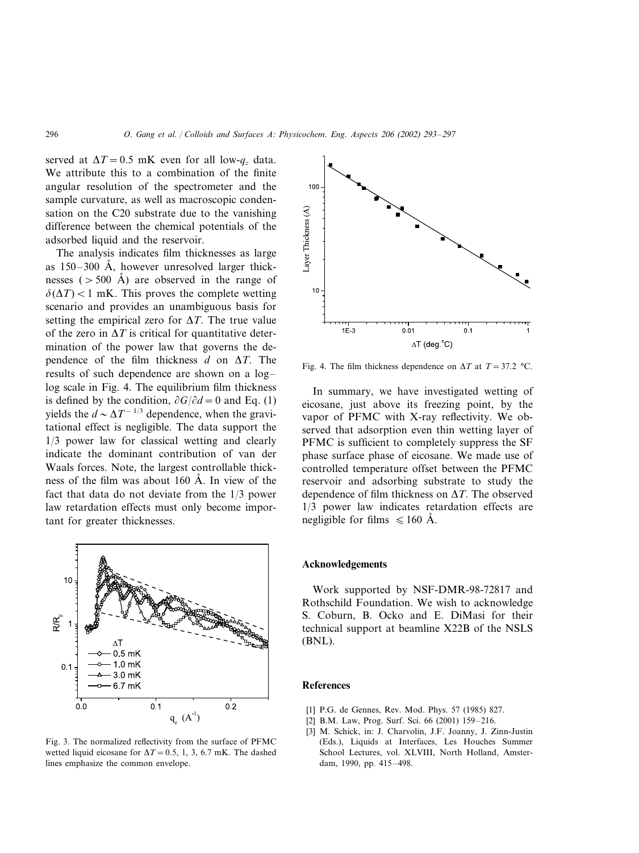served at  $\Delta T = 0.5$  mK even for all low- $q_z$  data. We attribute this to a combination of the finite angular resolution of the spectrometer and the sample curvature, as well as macroscopic condensation on the C20 substrate due to the vanishing difference between the chemical potentials of the adsorbed liquid and the reservoir.

The analysis indicates film thicknesses as large as  $150-300$  Å, however unresolved larger thicknesses ( $>500$  Å) are observed in the range of  $\delta(\Delta T)$  < 1 mK. This proves the complete wetting scenario and provides an unambiguous basis for setting the empirical zero for  $\Delta T$ . The true value of the zero in  $\Delta T$  is critical for quantitative determination of the power law that governs the dependence of the film thickness  $d$  on  $\Delta T$ . The results of such dependence are shown on a log– log scale in Fig. 4. The equilibrium film thickness is defined by the condition,  $\partial G/\partial d = 0$  and Eq. (1) yields the  $d \sim \Delta T^{-1/3}$  dependence, when the gravitational effect is negligible. The data support the 1/3 power law for classical wetting and clearly indicate the dominant contribution of van der Waals forces. Note, the largest controllable thickness of the film was about 160  $\AA$ . In view of the fact that data do not deviate from the 1/3 power law retardation effects must only become important for greater thicknesses.



Fig. 3. The normalized reflectivity from the surface of PFMC wetted liquid eicosane for  $\Delta T = 0.5, 1, 3, 6.7$  mK. The dashed lines emphasize the common envelope.



Fig. 4. The film thickness dependence on  $\Delta T$  at  $T = 37.2$  °C.

In summary, we have investigated wetting of eicosane, just above its freezing point, by the vapor of PFMC with X-ray reflectivity. We observed that adsorption even thin wetting layer of PFMC is sufficient to completely suppress the SF phase surface phase of eicosane. We made use of controlled temperature offset between the PFMC reservoir and adsorbing substrate to study the dependence of film thickness on  $\Delta T$ . The observed 1/3 power law indicates retardation effects are negligible for films  $\leq 160$  Å.

## **Acknowledgements**

Work supported by NSF-DMR-98-72817 and Rothschild Foundation. We wish to acknowledge S. Coburn, B. Ocko and E. DiMasi for their technical support at beamline X22B of the NSLS (BNL).

## **References**

- [1] P.G. de Gennes, Rev. Mod. Phys. 57 (1985) 827.
- [2] B.M. Law, Prog. Surf. Sci. 66 (2001) 159–216.
- [3] M. Schick, in: J. Charvolin, J.F. Joanny, J. Zinn-Justin (Eds.), Liquids at Interfaces, Les Houches Summer School Lectures, vol. XLVIII, North Holland, Amsterdam, 1990, pp. 415–498.